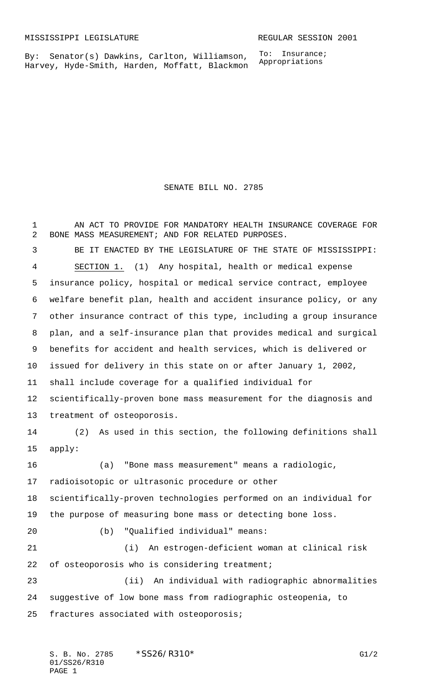By: Senator(s) Dawkins, Carlton, Williamson, Harvey, Hyde-Smith, Harden, Moffatt, Blackmon To: Insurance; Appropriations

SENATE BILL NO. 2785

 AN ACT TO PROVIDE FOR MANDATORY HEALTH INSURANCE COVERAGE FOR BONE MASS MEASUREMENT; AND FOR RELATED PURPOSES. BE IT ENACTED BY THE LEGISLATURE OF THE STATE OF MISSISSIPPI: SECTION 1. (1) Any hospital, health or medical expense insurance policy, hospital or medical service contract, employee welfare benefit plan, health and accident insurance policy, or any other insurance contract of this type, including a group insurance plan, and a self-insurance plan that provides medical and surgical benefits for accident and health services, which is delivered or issued for delivery in this state on or after January 1, 2002, shall include coverage for a qualified individual for scientifically-proven bone mass measurement for the diagnosis and treatment of osteoporosis. (2) As used in this section, the following definitions shall apply: (a) "Bone mass measurement" means a radiologic, radioisotopic or ultrasonic procedure or other scientifically-proven technologies performed on an individual for the purpose of measuring bone mass or detecting bone loss. (b) "Qualified individual" means: (i) An estrogen-deficient woman at clinical risk 22 of osteoporosis who is considering treatment; (ii) An individual with radiographic abnormalities suggestive of low bone mass from radiographic osteopenia, to fractures associated with osteoporosis;